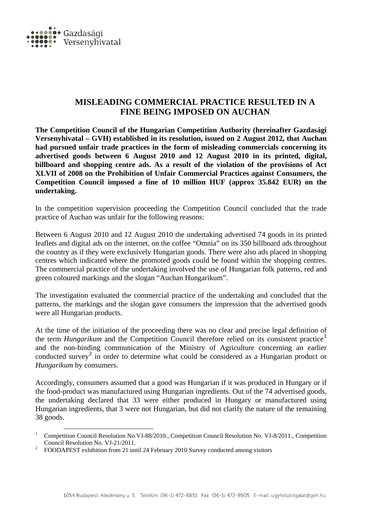

## **MISLEADING COMMERCIAL PRACTICE RESULTED IN A FINE BEING IMPOSED ON AUCHAN**

**The Competition Council of the Hungarian Competition Authority (hereinafter Gazdasági Versenyhivatal – GVH) established in its resolution, issued on 2 August 2012, that Auchan had pursued unfair trade practices in the form of misleading commercials concerning its advertised goods between 6 August 2010 and 12 August 2010 in its printed, digital, billboard and shopping centre ads. As a result of the violation of the provisions of Act XLVII of 2008 on the Prohibition of Unfair Commercial Practices against Consumers, the Competition Council imposed a fine of 10 million HUF (approx 35.842 EUR) on the undertaking.**

In the competition supervision proceeding the Competition Council concluded that the trade practice of Auchan was unfair for the following reasons:

Between 6 August 2010 and 12 August 2010 the undertaking advertised 74 goods in its printed leaflets and digital ads on the internet, on the coffee "Omnia" on its 350 billboard ads throughout the country as if they were exclusively Hungarian goods. There were also ads placed in shopping centres which indicated where the promoted goods could be found within the shopping centres. The commercial practice of the undertaking involved the use of Hungarian folk patterns, red and green coloured markings and the slogan "Auchan Hungarikum".

The investigation evaluated the commercial practice of the undertaking and concluded that the patterns, the markings and the slogan gave consumers the impression that the advertised goods were all Hungarian products.

At the time of the initiation of the proceeding there was no clear and precise legal definition of the term *Hungarikum* and the Competition Council therefore relied on its consistent practice<sup>[1](#page-0-0)</sup> and the non-binding communication of the Ministry of Agriculture concerning an earlier conducted survey<sup>[2](#page-0-1)</sup> in order to determine what could be considered as a Hungarian product or *Hungarikum* by consumers.

Accordingly, consumers assumed that a good was Hungarian if it was produced in Hungary or if the food-product was manufactured using Hungarian ingredients. Out of the 74 advertised goods, the undertaking declared that 33 were either produced in Hungary or manufactured using Hungarian ingredients, that 3 were not Hungarian, but did not clarify the nature of the remaining 38 goods.

<span id="page-0-0"></span><sup>&</sup>lt;sup>1</sup> Competition Council Resolution No.VJ-88/2010., Competition Council Resolution No. VJ-8/2011., Competition Council Resolution No. VJ-21/2011.<br><sup>2</sup> FOODAPEST exhibition from 21 until 24 February 2010 Survey conducted among visitors

<span id="page-0-1"></span>